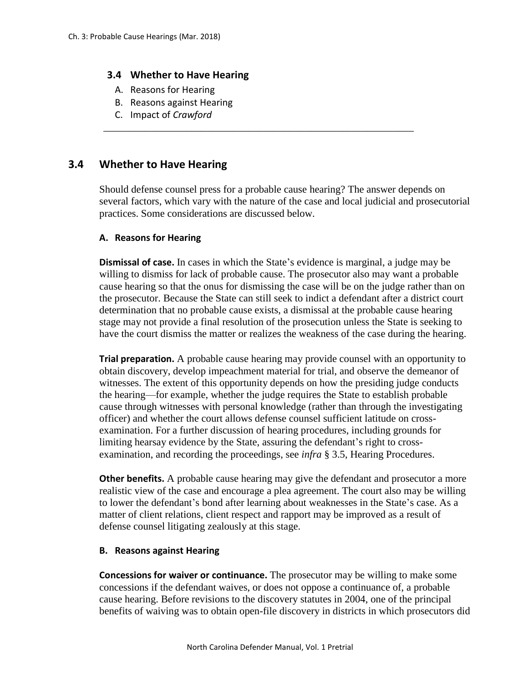## **3.4 Whether to Have Hearing**

- A. Reasons for Hearing
- B. Reasons against Hearing
- C. Impact of *Crawford*

# **3.4 Whether to Have Hearing**

Should defense counsel press for a probable cause hearing? The answer depends on several factors, which vary with the nature of the case and local judicial and prosecutorial practices. Some considerations are discussed below.

\_\_\_\_\_\_\_\_\_\_\_\_\_\_\_\_\_\_\_\_\_\_\_\_\_\_\_\_\_\_\_\_\_\_\_\_\_\_\_\_\_\_\_\_\_\_\_\_\_\_\_\_\_\_\_\_\_\_\_\_

### **A. Reasons for Hearing**

**Dismissal of case.** In cases in which the State's evidence is marginal, a judge may be willing to dismiss for lack of probable cause. The prosecutor also may want a probable cause hearing so that the onus for dismissing the case will be on the judge rather than on the prosecutor. Because the State can still seek to indict a defendant after a district court determination that no probable cause exists, a dismissal at the probable cause hearing stage may not provide a final resolution of the prosecution unless the State is seeking to have the court dismiss the matter or realizes the weakness of the case during the hearing.

**Trial preparation.** A probable cause hearing may provide counsel with an opportunity to obtain discovery, develop impeachment material for trial, and observe the demeanor of witnesses. The extent of this opportunity depends on how the presiding judge conducts the hearing—for example, whether the judge requires the State to establish probable cause through witnesses with personal knowledge (rather than through the investigating officer) and whether the court allows defense counsel sufficient latitude on crossexamination. For a further discussion of hearing procedures, including grounds for limiting hearsay evidence by the State, assuring the defendant's right to crossexamination, and recording the proceedings, see *infra* § 3.5, Hearing Procedures.

**Other benefits.** A probable cause hearing may give the defendant and prosecutor a more realistic view of the case and encourage a plea agreement. The court also may be willing to lower the defendant's bond after learning about weaknesses in the State's case. As a matter of client relations, client respect and rapport may be improved as a result of defense counsel litigating zealously at this stage.

#### **B. Reasons against Hearing**

**Concessions for waiver or continuance.** The prosecutor may be willing to make some concessions if the defendant waives, or does not oppose a continuance of, a probable cause hearing. Before revisions to the discovery statutes in 2004, one of the principal benefits of waiving was to obtain open-file discovery in districts in which prosecutors did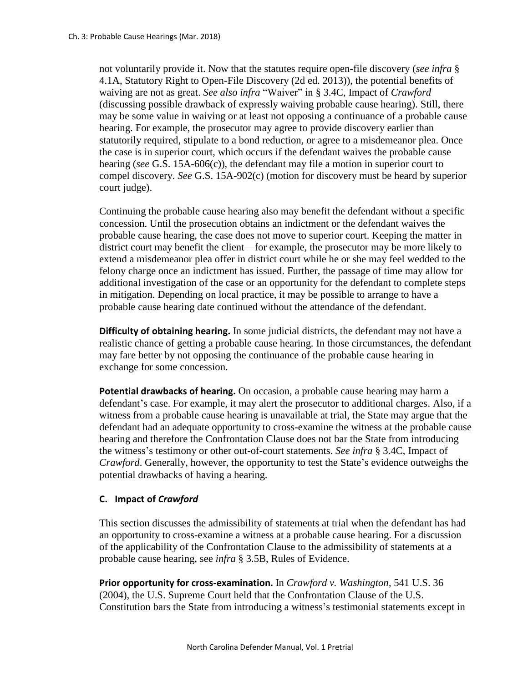not voluntarily provide it. Now that the statutes require open-file discovery (*see infra* § 4.1A, Statutory Right to Open-File Discovery (2d ed. 2013)), the potential benefits of waiving are not as great. *See also infra* "Waiver" in § 3.4C, Impact of *Crawford* (discussing possible drawback of expressly waiving probable cause hearing). Still, there may be some value in waiving or at least not opposing a continuance of a probable cause hearing. For example, the prosecutor may agree to provide discovery earlier than statutorily required, stipulate to a bond reduction, or agree to a misdemeanor plea. Once the case is in superior court, which occurs if the defendant waives the probable cause hearing (*see* G.S. 15A-606(c)), the defendant may file a motion in superior court to compel discovery. *See* G.S. 15A-902(c) (motion for discovery must be heard by superior court judge).

Continuing the probable cause hearing also may benefit the defendant without a specific concession. Until the prosecution obtains an indictment or the defendant waives the probable cause hearing, the case does not move to superior court. Keeping the matter in district court may benefit the client—for example, the prosecutor may be more likely to extend a misdemeanor plea offer in district court while he or she may feel wedded to the felony charge once an indictment has issued. Further, the passage of time may allow for additional investigation of the case or an opportunity for the defendant to complete steps in mitigation. Depending on local practice, it may be possible to arrange to have a probable cause hearing date continued without the attendance of the defendant.

**Difficulty of obtaining hearing.** In some judicial districts, the defendant may not have a realistic chance of getting a probable cause hearing. In those circumstances, the defendant may fare better by not opposing the continuance of the probable cause hearing in exchange for some concession.

**Potential drawbacks of hearing.** On occasion, a probable cause hearing may harm a defendant's case. For example, it may alert the prosecutor to additional charges. Also, if a witness from a probable cause hearing is unavailable at trial, the State may argue that the defendant had an adequate opportunity to cross-examine the witness at the probable cause hearing and therefore the Confrontation Clause does not bar the State from introducing the witness's testimony or other out-of-court statements. *See infra* § 3.4C, Impact of *Crawford*. Generally, however, the opportunity to test the State's evidence outweighs the potential drawbacks of having a hearing.

## **C. Impact of** *Crawford*

This section discusses the admissibility of statements at trial when the defendant has had an opportunity to cross-examine a witness at a probable cause hearing. For a discussion of the applicability of the Confrontation Clause to the admissibility of statements at a probable cause hearing, see *infra* § 3.5B, Rules of Evidence.

**Prior opportunity for cross-examination.** In *Crawford v. Washington*, 541 U.S. 36 (2004), the U.S. Supreme Court held that the Confrontation Clause of the U.S. Constitution bars the State from introducing a witness's testimonial statements except in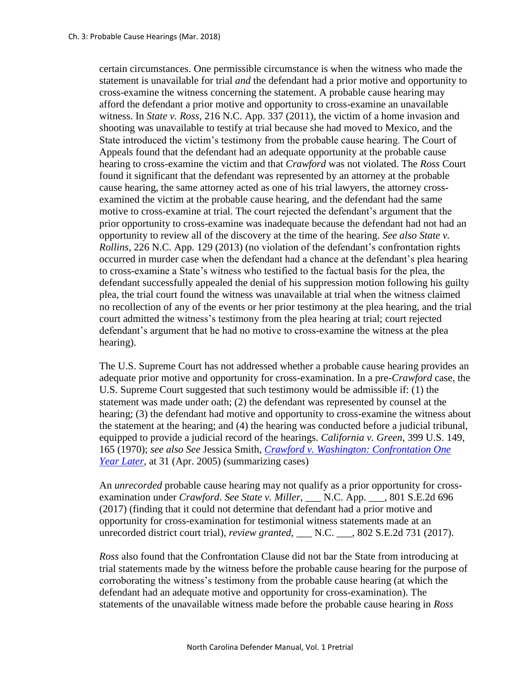certain circumstances. One permissible circumstance is when the witness who made the statement is unavailable for trial *and* the defendant had a prior motive and opportunity to cross-examine the witness concerning the statement. A probable cause hearing may afford the defendant a prior motive and opportunity to cross-examine an unavailable witness. In *State v. Ross*, 216 N.C. App. 337 (2011), the victim of a home invasion and shooting was unavailable to testify at trial because she had moved to Mexico, and the State introduced the victim's testimony from the probable cause hearing. The Court of Appeals found that the defendant had an adequate opportunity at the probable cause hearing to cross-examine the victim and that *Crawford* was not violated. The *Ross* Court found it significant that the defendant was represented by an attorney at the probable cause hearing, the same attorney acted as one of his trial lawyers, the attorney crossexamined the victim at the probable cause hearing, and the defendant had the same motive to cross-examine at trial. The court rejected the defendant's argument that the prior opportunity to cross-examine was inadequate because the defendant had not had an opportunity to review all of the discovery at the time of the hearing. *See also State v. Rollins*, 226 N.C. App. 129 (2013) (no violation of the defendant's confrontation rights occurred in murder case when the defendant had a chance at the defendant's plea hearing to cross-examine a State's witness who testified to the factual basis for the plea, the defendant successfully appealed the denial of his suppression motion following his guilty plea, the trial court found the witness was unavailable at trial when the witness claimed no recollection of any of the events or her prior testimony at the plea hearing, and the trial court admitted the witness's testimony from the plea hearing at trial; court rejected defendant's argument that he had no motive to cross-examine the witness at the plea hearing).

The U.S. Supreme Court has not addressed whether a probable cause hearing provides an adequate prior motive and opportunity for cross-examination. In a pre-*Crawford* case, the U.S. Supreme Court suggested that such testimony would be admissible if: (1) the statement was made under oath; (2) the defendant was represented by counsel at the hearing; (3) the defendant had motive and opportunity to cross-examine the witness about the statement at the hearing; and (4) the hearing was conducted before a judicial tribunal, equipped to provide a judicial record of the hearings. *California v. Green*, 399 U.S. 149, 165 (1970); *see also See* Jessica Smith, *[Crawford v. Washington: Confrontation One](http://sogpubs.unc.edu/electronicversions/pdfs/crawford.pdf)  [Year Later](http://sogpubs.unc.edu/electronicversions/pdfs/crawford.pdf)*, at 31 (Apr. 2005) (summarizing cases)

An *unrecorded* probable cause hearing may not qualify as a prior opportunity for crossexamination under *Crawford*. *See State v. Miller*, \_\_\_ N.C. App. \_\_\_, 801 S.E.2d 696 (2017) (finding that it could not determine that defendant had a prior motive and opportunity for cross-examination for testimonial witness statements made at an unrecorded district court trial), *review granted*, \_\_\_ N.C. \_\_\_, 802 S.E.2d 731 (2017).

*Ross* also found that the Confrontation Clause did not bar the State from introducing at trial statements made by the witness before the probable cause hearing for the purpose of corroborating the witness's testimony from the probable cause hearing (at which the defendant had an adequate motive and opportunity for cross-examination). The statements of the unavailable witness made before the probable cause hearing in *Ross*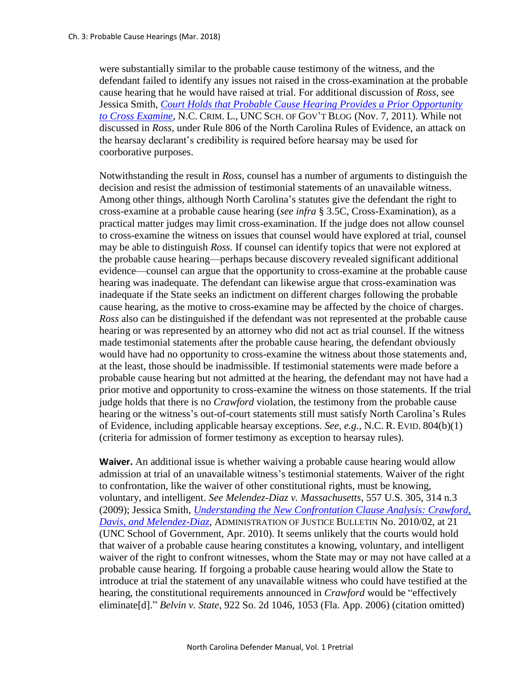were substantially similar to the probable cause testimony of the witness, and the defendant failed to identify any issues not raised in the cross-examination at the probable cause hearing that he would have raised at trial. For additional discussion of *Ross*, see Jessica Smith, *[Court Holds that Probable Cause Hearing Provides a Prior Opportunity](https://nccriminallaw.sog.unc.edu/court-holds-that-probable-cause-hearing-provides-a-prior-opportunity-to-cross-examine/)  [to Cross Examine](https://nccriminallaw.sog.unc.edu/court-holds-that-probable-cause-hearing-provides-a-prior-opportunity-to-cross-examine/)*, N.C. CRIM. L., UNC SCH. OF GOV'T BLOG (Nov. 7, 2011). While not discussed in *Ross*, under Rule 806 of the North Carolina Rules of Evidence, an attack on the hearsay declarant's credibility is required before hearsay may be used for coorborative purposes.

Notwithstanding the result in *Ross*, counsel has a number of arguments to distinguish the decision and resist the admission of testimonial statements of an unavailable witness. Among other things, although North Carolina's statutes give the defendant the right to cross-examine at a probable cause hearing (*see infra* § 3.5C, Cross-Examination), as a practical matter judges may limit cross-examination. If the judge does not allow counsel to cross-examine the witness on issues that counsel would have explored at trial, counsel may be able to distinguish *Ross.* If counsel can identify topics that were not explored at the probable cause hearing—perhaps because discovery revealed significant additional evidence—counsel can argue that the opportunity to cross-examine at the probable cause hearing was inadequate. The defendant can likewise argue that cross-examination was inadequate if the State seeks an indictment on different charges following the probable cause hearing, as the motive to cross-examine may be affected by the choice of charges. *Ross* also can be distinguished if the defendant was not represented at the probable cause hearing or was represented by an attorney who did not act as trial counsel. If the witness made testimonial statements after the probable cause hearing, the defendant obviously would have had no opportunity to cross-examine the witness about those statements and, at the least, those should be inadmissible. If testimonial statements were made before a probable cause hearing but not admitted at the hearing, the defendant may not have had a prior motive and opportunity to cross-examine the witness on those statements. If the trial judge holds that there is no *Crawford* violation, the testimony from the probable cause hearing or the witness's out-of-court statements still must satisfy North Carolina's Rules of Evidence, including applicable hearsay exceptions. *See, e.g.*, N.C. R. EVID. 804(b)(1) (criteria for admission of former testimony as exception to hearsay rules).

**Waiver.** An additional issue is whether waiving a probable cause hearing would allow admission at trial of an unavailable witness's testimonial statements. Waiver of the right to confrontation, like the waiver of other constitutional rights, must be knowing, voluntary, and intelligent. *See Melendez-Diaz v. Massachusetts*, 557 U.S. 305, 314 n.3 (2009); Jessica Smith, *[Understanding the New Confrontation Clause Analysis: Crawford,](http://sogpubs.unc.edu/electronicversions/pdfs/aojb1002.pdf)  [Davis, and Melendez-Diaz](http://sogpubs.unc.edu/electronicversions/pdfs/aojb1002.pdf)*, ADMINISTRATION OF JUSTICE BULLETIN No. 2010/02, at 21 (UNC School of Government, Apr. 2010). It seems unlikely that the courts would hold that waiver of a probable cause hearing constitutes a knowing, voluntary, and intelligent waiver of the right to confront witnesses, whom the State may or may not have called at a probable cause hearing. If forgoing a probable cause hearing would allow the State to introduce at trial the statement of any unavailable witness who could have testified at the hearing, the constitutional requirements announced in *Crawford* would be "effectively eliminate[d]." *Belvin v. State*, 922 So. 2d 1046, 1053 (Fla. App. 2006) (citation omitted)